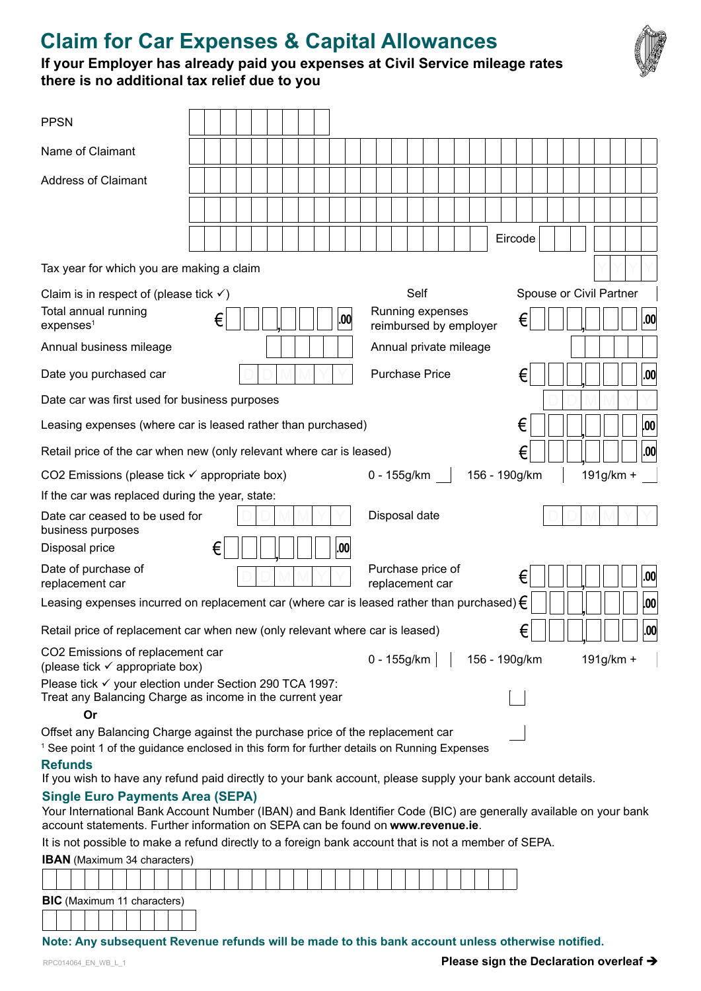# **Claim for Car Expenses & Capital Allowances**



### **If your Employer has already paid you expenses at Civil Service mileage rates there is no additional tax relief due to you**

| <b>PPSN</b>                                                                                                                    |                                                                                                                                                                                                                                                                                                        |                                                                              |                                     |
|--------------------------------------------------------------------------------------------------------------------------------|--------------------------------------------------------------------------------------------------------------------------------------------------------------------------------------------------------------------------------------------------------------------------------------------------------|------------------------------------------------------------------------------|-------------------------------------|
| Name of Claimant                                                                                                               |                                                                                                                                                                                                                                                                                                        |                                                                              |                                     |
| <b>Address of Claimant</b>                                                                                                     |                                                                                                                                                                                                                                                                                                        |                                                                              | Eircode                             |
| Tax year for which you are making a claim                                                                                      |                                                                                                                                                                                                                                                                                                        |                                                                              |                                     |
| Claim is in respect of (please tick $\checkmark$ )<br>Total annual running<br>expenses <sup>1</sup><br>Annual business mileage | €<br>.00                                                                                                                                                                                                                                                                                               | Self<br>Running expenses<br>reimbursed by employer<br>Annual private mileage | Spouse or Civil Partner<br>€<br>.00 |
| Date you purchased car                                                                                                         |                                                                                                                                                                                                                                                                                                        | <b>Purchase Price</b>                                                        | €<br> .00                           |
| Date car was first used for business purposes                                                                                  |                                                                                                                                                                                                                                                                                                        |                                                                              |                                     |
|                                                                                                                                | Leasing expenses (where car is leased rather than purchased)                                                                                                                                                                                                                                           |                                                                              | €<br>.00                            |
|                                                                                                                                | Retail price of the car when new (only relevant where car is leased)                                                                                                                                                                                                                                   |                                                                              | .00<br>€                            |
| CO2 Emissions (please tick $\checkmark$ appropriate box)                                                                       |                                                                                                                                                                                                                                                                                                        | 0 - 155g/km                                                                  | 156 - 190g/km<br>191g/km +          |
| If the car was replaced during the year, state:                                                                                |                                                                                                                                                                                                                                                                                                        |                                                                              |                                     |
| Date car ceased to be used for<br>business purposes<br>Disposal price                                                          | €<br>.00                                                                                                                                                                                                                                                                                               | Disposal date                                                                |                                     |
| Date of purchase of<br>replacement car                                                                                         |                                                                                                                                                                                                                                                                                                        | Purchase price of<br>replacement car                                         | .00<br>€                            |
|                                                                                                                                | Leasing expenses incurred on replacement car (where car is leased rather than purchased) $\epsilon$                                                                                                                                                                                                    |                                                                              | 00                                  |
|                                                                                                                                | Retail price of replacement car when new (only relevant where car is leased)                                                                                                                                                                                                                           |                                                                              | ╭<br>,00<br>€                       |
| CO2 Emissions of replacement car<br>(please tick $\checkmark$ appropriate box)                                                 |                                                                                                                                                                                                                                                                                                        | 0 - 155g/km                                                                  | 156 - 190g/km<br>191g/km +          |
| Please tick v your election under Section 290 TCA 1997:<br>Or                                                                  | Treat any Balancing Charge as income in the current year                                                                                                                                                                                                                                               |                                                                              |                                     |
| <b>Refunds</b>                                                                                                                 | Offset any Balancing Charge against the purchase price of the replacement car<br><sup>1</sup> See point 1 of the guidance enclosed in this form for further details on Running Expenses<br>If you wish to have any refund paid directly to your bank account, please supply your bank account details. |                                                                              |                                     |
| <b>Single Euro Payments Area (SEPA)</b>                                                                                        | Your International Bank Account Number (IBAN) and Bank Identifier Code (BIC) are generally available on your bank<br>account statements. Further information on SEPA can be found on www.revenue.ie.                                                                                                   |                                                                              |                                     |
|                                                                                                                                | It is not possible to make a refund directly to a foreign bank account that is not a member of SEPA.                                                                                                                                                                                                   |                                                                              |                                     |
| <b>IBAN</b> (Maximum 34 characters)                                                                                            |                                                                                                                                                                                                                                                                                                        |                                                                              |                                     |
|                                                                                                                                |                                                                                                                                                                                                                                                                                                        |                                                                              |                                     |
| <b>BIC</b> (Maximum 11 characters)                                                                                             |                                                                                                                                                                                                                                                                                                        |                                                                              |                                     |

#### **Note: Any subsequent Revenue refunds will be made to this bank account unless otherwise notified.**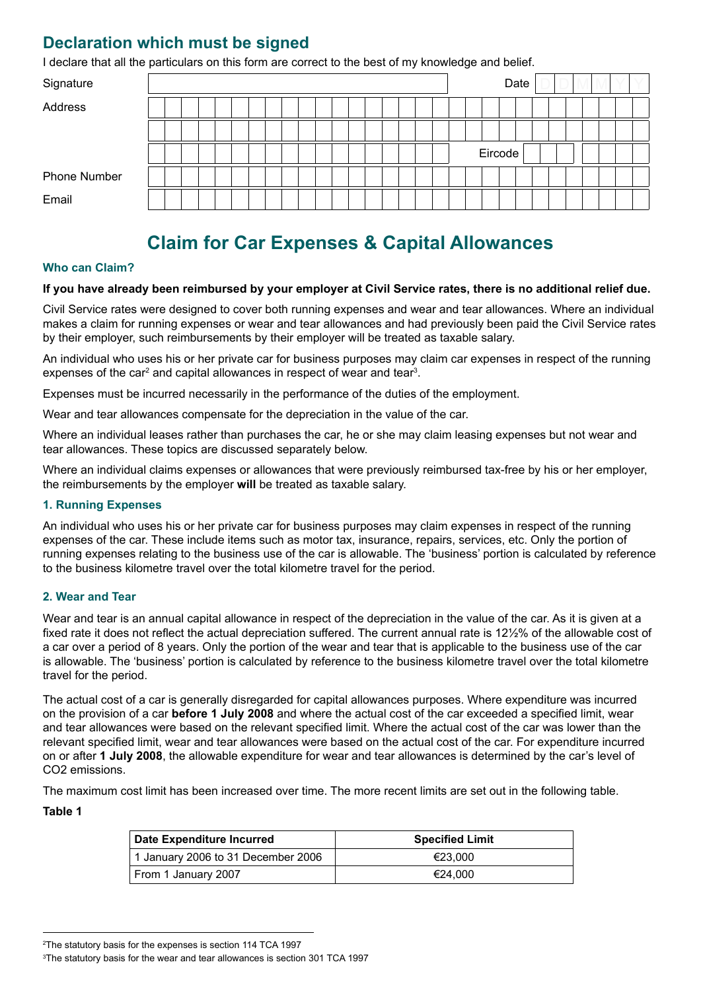### **Declaration which must be signed**

I declare that all the particulars on this form are correct to the best of my knowledge and belief.

| Signature    |  |  |  |  |  |  |  |  |  |  |         | Date |  |  |  |  |
|--------------|--|--|--|--|--|--|--|--|--|--|---------|------|--|--|--|--|
| Address      |  |  |  |  |  |  |  |  |  |  |         |      |  |  |  |  |
|              |  |  |  |  |  |  |  |  |  |  |         |      |  |  |  |  |
|              |  |  |  |  |  |  |  |  |  |  | Eircode |      |  |  |  |  |
| Phone Number |  |  |  |  |  |  |  |  |  |  |         |      |  |  |  |  |
| Email        |  |  |  |  |  |  |  |  |  |  |         |      |  |  |  |  |

## **Claim for Car Expenses & Capital Allowances**

#### **Who can Claim?**

#### **If you have already been reimbursed by your employer at Civil Service rates, there is no additional relief due.**

Civil Service rates were designed to cover both running expenses and wear and tear allowances. Where an individual makes a claim for running expenses or wear and tear allowances and had previously been paid the Civil Service rates by their employer, such reimbursements by their employer will be treated as taxable salary.

An individual who uses his or her private car for business purposes may claim car expenses in respect of the running expenses of the car<sup>2</sup> and capital allowances in respect of wear and tear<sup>3</sup>.

Expenses must be incurred necessarily in the performance of the duties of the employment.

Wear and tear allowances compensate for the depreciation in the value of the car.

Where an individual leases rather than purchases the car, he or she may claim leasing expenses but not wear and tear allowances. These topics are discussed separately below.

Where an individual claims expenses or allowances that were previously reimbursed tax-free by his or her employer, the reimbursements by the employer **will** be treated as taxable salary.

#### **1. Running Expenses**

An individual who uses his or her private car for business purposes may claim expenses in respect of the running expenses of the car. These include items such as motor tax, insurance, repairs, services, etc. Only the portion of running expenses relating to the business use of the car is allowable. The 'business' portion is calculated by reference to the business kilometre travel over the total kilometre travel for the period.

#### **2. Wear and Tear**

Wear and tear is an annual capital allowance in respect of the depreciation in the value of the car. As it is given at a fixed rate it does not reflect the actual depreciation suffered. The current annual rate is 12½% of the allowable cost of a car over a period of 8 years. Only the portion of the wear and tear that is applicable to the business use of the car is allowable. The 'business' portion is calculated by reference to the business kilometre travel over the total kilometre travel for the period.

The actual cost of a car is generally disregarded for capital allowances purposes. Where expenditure was incurred on the provision of a car **before 1 July 2008** and where the actual cost of the car exceeded a specified limit, wear and tear allowances were based on the relevant specified limit. Where the actual cost of the car was lower than the relevant specified limit, wear and tear allowances were based on the actual cost of the car. For expenditure incurred on or after **1 July 2008**, the allowable expenditure for wear and tear allowances is determined by the car's level of CO2 emissions.

The maximum cost limit has been increased over time. The more recent limits are set out in the following table.

#### **Table 1**

| Date Expenditure Incurred          | <b>Specified Limit</b> |
|------------------------------------|------------------------|
| 1 January 2006 to 31 December 2006 | €23.000                |
| From 1 January 2007                | €24.000                |

<sup>2</sup> The statutory basis for the expenses is section 114 TCA 1997

<sup>3</sup> The statutory basis for the wear and tear allowances is section 301 TCA 1997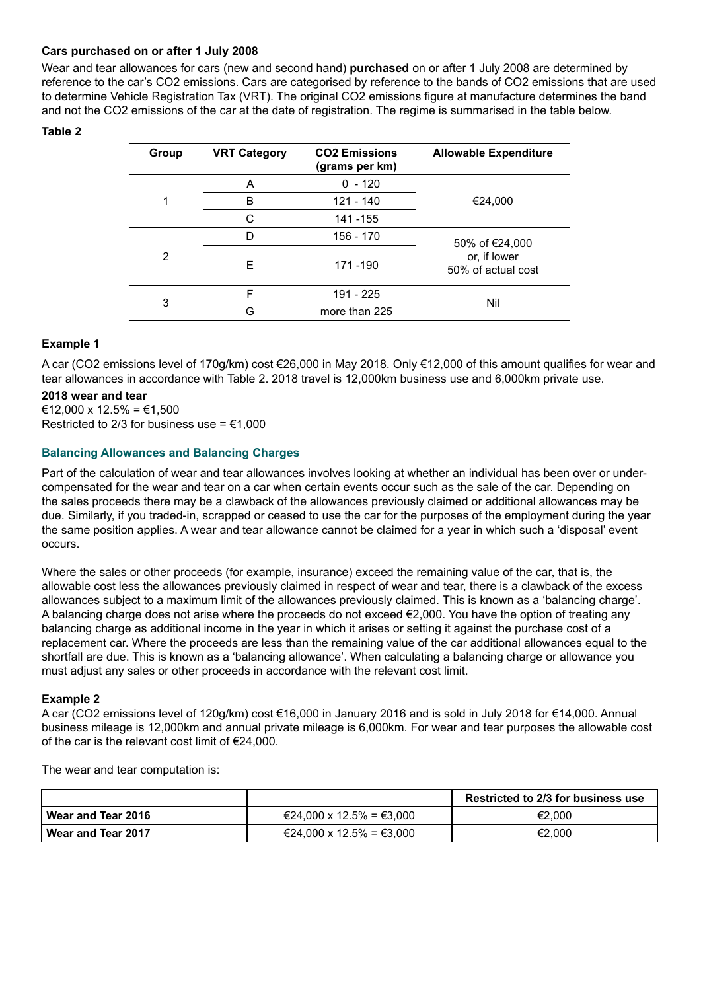#### **Cars purchased on or after 1 July 2008**

Wear and tear allowances for cars (new and second hand) **purchased** on or after 1 July 2008 are determined by reference to the car's CO2 emissions. Cars are categorised by reference to the bands of CO2 emissions that are used to determine Vehicle Registration Tax (VRT). The original CO2 emissions figure at manufacture determines the band and not the CO2 emissions of the car at the date of registration. The regime is summarised in the table below.

#### **Table 2**

| Group | <b>VRT Category</b> | <b>CO2 Emissions</b><br>(grams per km) | <b>Allowable Expenditure</b>       |  |  |  |  |
|-------|---------------------|----------------------------------------|------------------------------------|--|--|--|--|
|       | A                   | $0 - 120$                              |                                    |  |  |  |  |
| 1     | B                   | 121 - 140                              | €24,000                            |  |  |  |  |
|       | C                   | 141 - 155                              |                                    |  |  |  |  |
|       | D                   | 156 - 170                              | 50% of €24,000                     |  |  |  |  |
| 2     | F                   | 171-190                                | or, if lower<br>50% of actual cost |  |  |  |  |
|       | F                   | 191 - 225                              | Nil                                |  |  |  |  |
| 3     | G                   | more than 225                          |                                    |  |  |  |  |

#### **Example 1**

A car (CO2 emissions level of 170g/km) cost €26,000 in May 2018. Only €12,000 of this amount qualifies for wear and tear allowances in accordance with Table 2. 2018 travel is 12,000km business use and 6,000km private use.

#### **2018 wear and tear**

€12,000 x 12.5% = €1,500 Restricted to 2/3 for business use =  $€1,000$ 

#### **Balancing Allowances and Balancing Charges**

Part of the calculation of wear and tear allowances involves looking at whether an individual has been over or undercompensated for the wear and tear on a car when certain events occur such as the sale of the car. Depending on the sales proceeds there may be a clawback of the allowances previously claimed or additional allowances may be due. Similarly, if you traded-in, scrapped or ceased to use the car for the purposes of the employment during the year the same position applies. A wear and tear allowance cannot be claimed for a year in which such a 'disposal' event occurs.

Where the sales or other proceeds (for example, insurance) exceed the remaining value of the car, that is, the allowable cost less the allowances previously claimed in respect of wear and tear, there is a clawback of the excess allowances subject to a maximum limit of the allowances previously claimed. This is known as a 'balancing charge'. A balancing charge does not arise where the proceeds do not exceed €2,000. You have the option of treating any balancing charge as additional income in the year in which it arises or setting it against the purchase cost of a replacement car. Where the proceeds are less than the remaining value of the car additional allowances equal to the shortfall are due. This is known as a 'balancing allowance'. When calculating a balancing charge or allowance you must adjust any sales or other proceeds in accordance with the relevant cost limit.

#### **Example 2**

A car (CO2 emissions level of 120g/km) cost €16,000 in January 2016 and is sold in July 2018 for €14,000. Annual business mileage is 12,000km and annual private mileage is 6,000km. For wear and tear purposes the allowable cost of the car is the relevant cost limit of €24,000.

The wear and tear computation is:

|                    |                          | <b>Restricted to 2/3 for business use</b> |
|--------------------|--------------------------|-------------------------------------------|
| Wear and Tear 2016 | €24,000 x 12.5% = €3,000 | €2.000                                    |
| Wear and Tear 2017 | €24,000 x 12.5% = €3,000 | €2.000                                    |